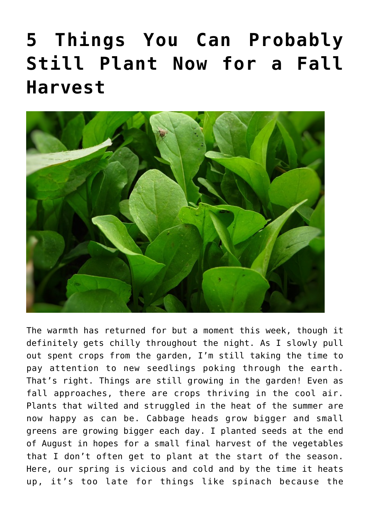## **[5 Things You Can Probably](https://www.frugalgardening.com/5-things-you-can-probably-still-plant-now-for-a-fall-harvest.html) [Still Plant Now for a Fall](https://www.frugalgardening.com/5-things-you-can-probably-still-plant-now-for-a-fall-harvest.html) [Harvest](https://www.frugalgardening.com/5-things-you-can-probably-still-plant-now-for-a-fall-harvest.html)**



The warmth has returned for but a moment this week, though it definitely gets chilly throughout the night. As I slowly pull out spent crops from the garden, I'm still taking the time to pay attention to new seedlings poking through the earth. That's right. Things are still growing in the garden! Even as fall approaches, there are crops thriving in the cool air. Plants that wilted and struggled in the heat of the summer are now happy as can be. Cabbage heads grow bigger and small greens are growing bigger each day. I planted seeds at the end of August in hopes for a small final harvest of the vegetables that I don't often get to plant at the start of the season. Here, our spring is vicious and cold and by the time it heats up, it's too late for things like spinach because the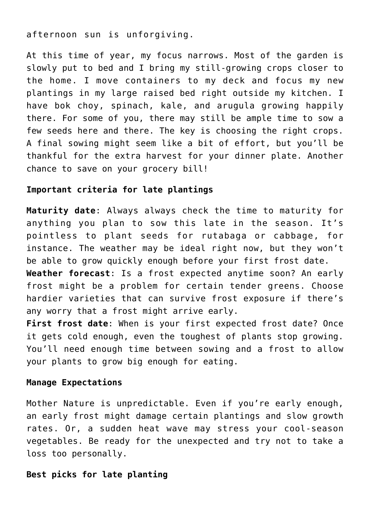afternoon sun is unforgiving.

At this time of year, my focus narrows. Most of the garden is slowly put to bed and I bring my still-growing crops closer to the home. I move containers to my deck and focus my new plantings in my large raised bed right outside my kitchen. I have bok choy, spinach, kale, and arugula growing happily there. For some of you, there may still be ample time to sow a few seeds here and there. The key is choosing the right crops. A final sowing might seem like a bit of effort, but you'll be thankful for the extra harvest for your dinner plate. Another chance to save on your grocery bill!

## **Important criteria for late plantings**

**Maturity date**: Always always check the time to maturity for anything you plan to sow this late in the season. It's pointless to plant seeds for rutabaga or cabbage, for instance. The weather may be ideal right now, but they won't be able to grow quickly enough before your first frost date. **Weather forecast**: Is a frost expected anytime soon? An early

frost might be a problem for certain tender greens. Choose hardier varieties that can survive frost exposure if there's any worry that a frost might arrive early.

**First frost date**: When is your first expected frost date? Once it gets cold enough, even the toughest of plants stop growing. You'll need enough time between sowing and a frost to allow your plants to grow big enough for eating.

## **Manage Expectations**

Mother Nature is unpredictable. Even if you're early enough, an early frost might damage certain plantings and slow growth rates. Or, a sudden heat wave may stress your cool-season vegetables. Be ready for the unexpected and try not to take a loss too personally.

## **Best picks for late planting**